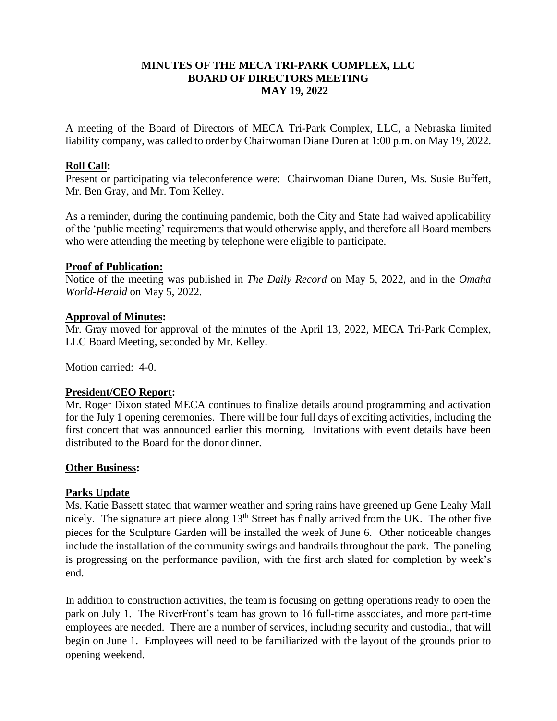## **MINUTES OF THE MECA TRI-PARK COMPLEX, LLC BOARD OF DIRECTORS MEETING MAY 19, 2022**

A meeting of the Board of Directors of MECA Tri-Park Complex, LLC, a Nebraska limited liability company, was called to order by Chairwoman Diane Duren at 1:00 p.m. on May 19, 2022.

#### **Roll Call:**

Present or participating via teleconference were: Chairwoman Diane Duren, Ms. Susie Buffett, Mr. Ben Gray, and Mr. Tom Kelley.

As a reminder, during the continuing pandemic, both the City and State had waived applicability of the 'public meeting' requirements that would otherwise apply, and therefore all Board members who were attending the meeting by telephone were eligible to participate.

## **Proof of Publication:**

Notice of the meeting was published in *The Daily Record* on May 5, 2022, and in the *Omaha World-Herald* on May 5, 2022.

## **Approval of Minutes:**

Mr. Gray moved for approval of the minutes of the April 13, 2022, MECA Tri-Park Complex, LLC Board Meeting, seconded by Mr. Kelley.

Motion carried: 4-0.

#### **President/CEO Report:**

Mr. Roger Dixon stated MECA continues to finalize details around programming and activation for the July 1 opening ceremonies. There will be four full days of exciting activities, including the first concert that was announced earlier this morning. Invitations with event details have been distributed to the Board for the donor dinner.

#### **Other Business:**

# **Parks Update**

Ms. Katie Bassett stated that warmer weather and spring rains have greened up Gene Leahy Mall nicely. The signature art piece along  $13<sup>th</sup>$  Street has finally arrived from the UK. The other five pieces for the Sculpture Garden will be installed the week of June 6. Other noticeable changes include the installation of the community swings and handrails throughout the park. The paneling is progressing on the performance pavilion, with the first arch slated for completion by week's end.

In addition to construction activities, the team is focusing on getting operations ready to open the park on July 1. The RiverFront's team has grown to 16 full-time associates, and more part-time employees are needed. There are a number of services, including security and custodial, that will begin on June 1. Employees will need to be familiarized with the layout of the grounds prior to opening weekend.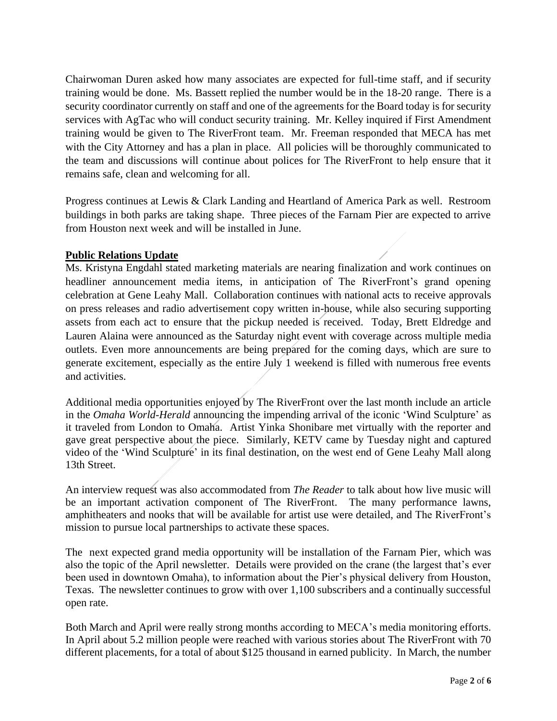Chairwoman Duren asked how many associates are expected for full-time staff, and if security training would be done. Ms. Bassett replied the number would be in the 18-20 range. There is a security coordinator currently on staff and one of the agreements for the Board today is for security services with AgTac who will conduct security training. Mr. Kelley inquired if First Amendment training would be given to The RiverFront team. Mr. Freeman responded that MECA has met with the City Attorney and has a plan in place. All policies will be thoroughly communicated to the team and discussions will continue about polices for The RiverFront to help ensure that it remains safe, clean and welcoming for all.

Progress continues at Lewis & Clark Landing and Heartland of America Park as well. Restroom buildings in both parks are taking shape. Three pieces of the Farnam Pier are expected to arrive from Houston next week and will be installed in June.

## **Public Relations Update**

Ms. Kristyna Engdahl stated marketing materials are nearing finalization and work continues on headliner announcement media items, in anticipation of The RiverFront's grand opening celebration at Gene Leahy Mall. Collaboration continues with national acts to receive approvals on press releases and radio advertisement copy written in-house, while also securing supporting assets from each act to ensure that the pickup needed is received. Today, Brett Eldredge and Lauren Alaina were announced as the Saturday night event with coverage across multiple media outlets. Even more announcements are being prepared for the coming days, which are sure to generate excitement, especially as the entire July 1 weekend is filled with numerous free events and activities.

Additional media opportunities enjoyed by The RiverFront over the last month include an article in the *Omaha World-Herald* announcing the impending arrival of the iconic 'Wind Sculpture' as it traveled from London to Omaha. Artist Yinka Shonibare met virtually with the reporter and gave great perspective about the piece. Similarly, KETV came by Tuesday night and captured video of the 'Wind Sculpture' in its final destination, on the west end of Gene Leahy Mall along 13th Street.

An interview request was also accommodated from *The Reader* to talk about how live music will be an important activation component of The RiverFront. The many performance lawns, amphitheaters and nooks that will be available for artist use were detailed, and The RiverFront's mission to pursue local partnerships to activate these spaces.

The next expected grand media opportunity will be installation of the Farnam Pier, which was also the topic of the April newsletter. Details were provided on the crane (the largest that's ever been used in downtown Omaha), to information about the Pier's physical delivery from Houston, Texas. The newsletter continues to grow with over 1,100 subscribers and a continually successful open rate.

Both March and April were really strong months according to MECA's media monitoring efforts. In April about 5.2 million people were reached with various stories about The RiverFront with 70 different placements, for a total of about \$125 thousand in earned publicity. In March, the number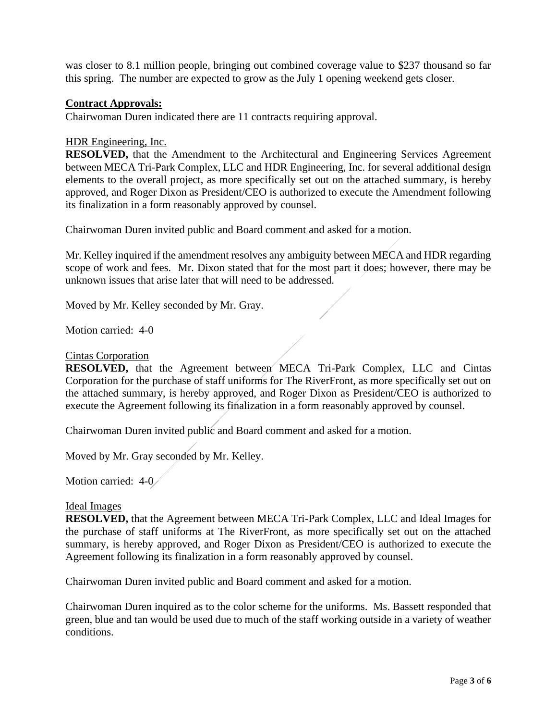was closer to 8.1 million people, bringing out combined coverage value to \$237 thousand so far this spring. The number are expected to grow as the July 1 opening weekend gets closer.

## **Contract Approvals:**

Chairwoman Duren indicated there are 11 contracts requiring approval.

#### HDR Engineering, Inc.

**RESOLVED,** that the Amendment to the Architectural and Engineering Services Agreement between MECA Tri-Park Complex, LLC and HDR Engineering, Inc. for several additional design elements to the overall project, as more specifically set out on the attached summary, is hereby approved, and Roger Dixon as President/CEO is authorized to execute the Amendment following its finalization in a form reasonably approved by counsel.

Chairwoman Duren invited public and Board comment and asked for a motion.

Mr. Kelley inquired if the amendment resolves any ambiguity between MECA and HDR regarding scope of work and fees. Mr. Dixon stated that for the most part it does; however, there may be unknown issues that arise later that will need to be addressed.

Moved by Mr. Kelley seconded by Mr. Gray.

Motion carried: 4-0

### Cintas Corporation

**RESOLVED,** that the Agreement between MECA Tri-Park Complex, LLC and Cintas Corporation for the purchase of staff uniforms for The RiverFront, as more specifically set out on the attached summary, is hereby approved, and Roger Dixon as President/CEO is authorized to execute the Agreement following its finalization in a form reasonably approved by counsel.

Chairwoman Duren invited public and Board comment and asked for a motion.

Moved by Mr. Gray seconded by Mr. Kelley.

Motion carried: 4-0

#### Ideal Images

**RESOLVED,** that the Agreement between MECA Tri-Park Complex, LLC and Ideal Images for the purchase of staff uniforms at The RiverFront, as more specifically set out on the attached summary, is hereby approved, and Roger Dixon as President/CEO is authorized to execute the Agreement following its finalization in a form reasonably approved by counsel.

Chairwoman Duren invited public and Board comment and asked for a motion.

Chairwoman Duren inquired as to the color scheme for the uniforms. Ms. Bassett responded that green, blue and tan would be used due to much of the staff working outside in a variety of weather conditions.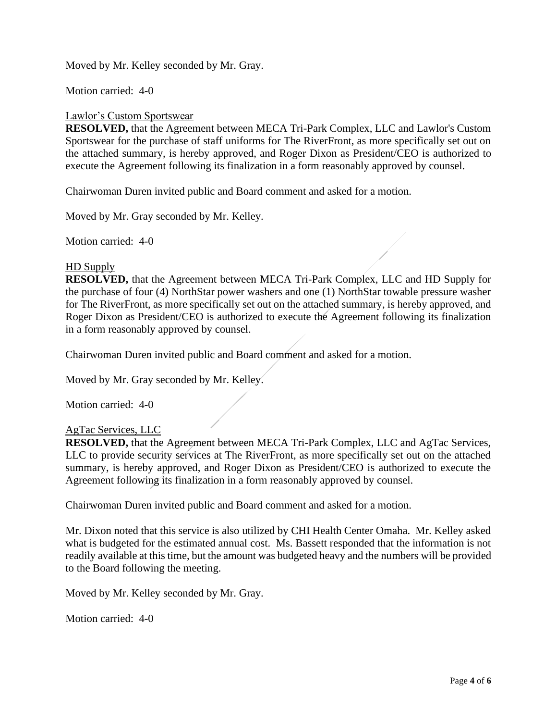Moved by Mr. Kelley seconded by Mr. Gray.

Motion carried: 4-0

### Lawlor's Custom Sportswear

**RESOLVED,** that the Agreement between MECA Tri-Park Complex, LLC and Lawlor's Custom Sportswear for the purchase of staff uniforms for The RiverFront, as more specifically set out on the attached summary, is hereby approved, and Roger Dixon as President/CEO is authorized to execute the Agreement following its finalization in a form reasonably approved by counsel.

Chairwoman Duren invited public and Board comment and asked for a motion.

Moved by Mr. Gray seconded by Mr. Kelley.

Motion carried: 4-0

#### HD Supply

**RESOLVED,** that the Agreement between MECA Tri-Park Complex, LLC and HD Supply for the purchase of four (4) NorthStar power washers and one (1) NorthStar towable pressure washer for The RiverFront, as more specifically set out on the attached summary, is hereby approved, and Roger Dixon as President/CEO is authorized to execute the Agreement following its finalization in a form reasonably approved by counsel.

Chairwoman Duren invited public and Board comment and asked for a motion.

Moved by Mr. Gray seconded by Mr. Kelley.

Motion carried: 4-0

#### AgTac Services, LLC

**RESOLVED,** that the Agreement between MECA Tri-Park Complex, LLC and AgTac Services, LLC to provide security services at The RiverFront, as more specifically set out on the attached summary, is hereby approved, and Roger Dixon as President/CEO is authorized to execute the Agreement following its finalization in a form reasonably approved by counsel.

Chairwoman Duren invited public and Board comment and asked for a motion.

Mr. Dixon noted that this service is also utilized by CHI Health Center Omaha. Mr. Kelley asked what is budgeted for the estimated annual cost. Ms. Bassett responded that the information is not readily available at this time, but the amount was budgeted heavy and the numbers will be provided to the Board following the meeting.

Moved by Mr. Kelley seconded by Mr. Gray.

Motion carried: 4-0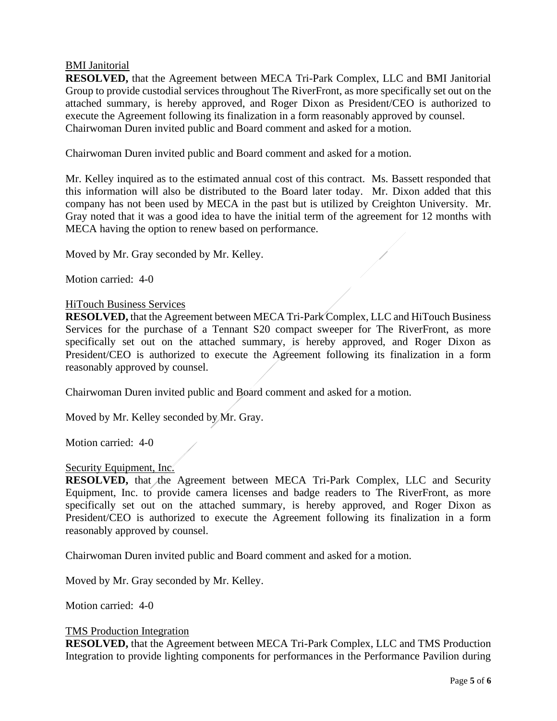### BMI Janitorial

**RESOLVED,** that the Agreement between MECA Tri-Park Complex, LLC and BMI Janitorial Group to provide custodial services throughout The RiverFront, as more specifically set out on the attached summary, is hereby approved, and Roger Dixon as President/CEO is authorized to execute the Agreement following its finalization in a form reasonably approved by counsel. Chairwoman Duren invited public and Board comment and asked for a motion.

Chairwoman Duren invited public and Board comment and asked for a motion.

Mr. Kelley inquired as to the estimated annual cost of this contract. Ms. Bassett responded that this information will also be distributed to the Board later today. Mr. Dixon added that this company has not been used by MECA in the past but is utilized by Creighton University. Mr. Gray noted that it was a good idea to have the initial term of the agreement for 12 months with MECA having the option to renew based on performance.

Moved by Mr. Gray seconded by Mr. Kelley.

Motion carried: 4-0

#### HiTouch Business Services

**RESOLVED,** that the Agreement between MECA Tri-Park Complex, LLC and HiTouch Business Services for the purchase of a Tennant S20 compact sweeper for The RiverFront, as more specifically set out on the attached summary, is hereby approved, and Roger Dixon as President/CEO is authorized to execute the Agreement following its finalization in a form reasonably approved by counsel.

Chairwoman Duren invited public and Board comment and asked for a motion.

Moved by Mr. Kelley seconded by Mr. Gray.

Motion carried: 4-0

#### Security Equipment, Inc.

**RESOLVED,** that the Agreement between MECA Tri-Park Complex, LLC and Security Equipment, Inc. to provide camera licenses and badge readers to The RiverFront, as more specifically set out on the attached summary, is hereby approved, and Roger Dixon as President/CEO is authorized to execute the Agreement following its finalization in a form reasonably approved by counsel.

Chairwoman Duren invited public and Board comment and asked for a motion.

Moved by Mr. Gray seconded by Mr. Kelley.

Motion carried: 4-0

#### TMS Production Integration

**RESOLVED,** that the Agreement between MECA Tri-Park Complex, LLC and TMS Production Integration to provide lighting components for performances in the Performance Pavilion during